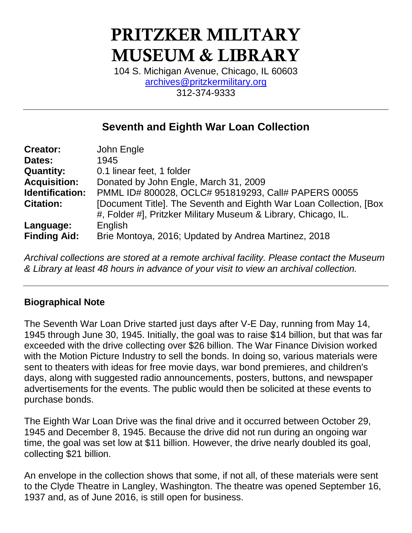# PRITZKER MILITARY MUSEUM & LIBRARY

104 S. Michigan Avenue, Chicago, IL 60603 [archives@pritzkermilitary.org](mailto:archives@pritzkermilitary.org) 312-374-9333

## **Seventh and Eighth War Loan Collection**

| <b>Creator:</b>     | John Engle                                                          |
|---------------------|---------------------------------------------------------------------|
| Dates:              | 1945                                                                |
| <b>Quantity:</b>    | 0.1 linear feet, 1 folder                                           |
| <b>Acquisition:</b> | Donated by John Engle, March 31, 2009                               |
| Identification:     | PMML ID# 800028, OCLC# 951819293, Call# PAPERS 00055                |
| <b>Citation:</b>    | [Document Title]. The Seventh and Eighth War Loan Collection, [Box] |
|                     | #, Folder #], Pritzker Military Museum & Library, Chicago, IL.      |
| Language:           | English                                                             |
| <b>Finding Aid:</b> | Brie Montoya, 2016; Updated by Andrea Martinez, 2018                |

*Archival collections are stored at a remote archival facility. Please contact the Museum & Library at least 48 hours in advance of your visit to view an archival collection.*

#### **Biographical Note**

The Seventh War Loan Drive started just days after V-E Day, running from May 14, 1945 through June 30, 1945. Initially, the goal was to raise \$14 billion, but that was far exceeded with the drive collecting over \$26 billion. The War Finance Division worked with the Motion Picture Industry to sell the bonds. In doing so, various materials were sent to theaters with ideas for free movie days, war bond premieres, and children's days, along with suggested radio announcements, posters, buttons, and newspaper advertisements for the events. The public would then be solicited at these events to purchase bonds.

The Eighth War Loan Drive was the final drive and it occurred between October 29, 1945 and December 8, 1945. Because the drive did not run during an ongoing war time, the goal was set low at \$11 billion. However, the drive nearly doubled its goal, collecting \$21 billion.

An envelope in the collection shows that some, if not all, of these materials were sent to the Clyde Theatre in Langley, Washington. The theatre was opened September 16, 1937 and, as of June 2016, is still open for business.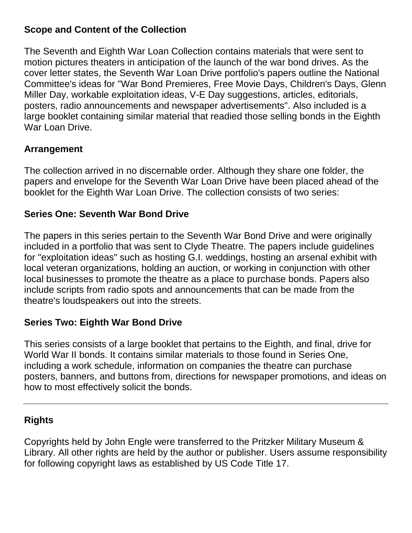#### **Scope and Content of the Collection**

The Seventh and Eighth War Loan Collection contains materials that were sent to motion pictures theaters in anticipation of the launch of the war bond drives. As the cover letter states, the Seventh War Loan Drive portfolio's papers outline the National Committee's ideas for "War Bond Premieres, Free Movie Days, Children's Days, Glenn Miller Day, workable exploitation ideas, V-E Day suggestions, articles, editorials, posters, radio announcements and newspaper advertisements". Also included is a large booklet containing similar material that readied those selling bonds in the Eighth War Loan Drive.

#### **Arrangement**

The collection arrived in no discernable order. Although they share one folder, the papers and envelope for the Seventh War Loan Drive have been placed ahead of the booklet for the Eighth War Loan Drive. The collection consists of two series:

#### **Series One: Seventh War Bond Drive**

The papers in this series pertain to the Seventh War Bond Drive and were originally included in a portfolio that was sent to Clyde Theatre. The papers include guidelines for "exploitation ideas" such as hosting G.I. weddings, hosting an arsenal exhibit with local veteran organizations, holding an auction, or working in conjunction with other local businesses to promote the theatre as a place to purchase bonds. Papers also include scripts from radio spots and announcements that can be made from the theatre's loudspeakers out into the streets.

#### **Series Two: Eighth War Bond Drive**

This series consists of a large booklet that pertains to the Eighth, and final, drive for World War II bonds. It contains similar materials to those found in Series One, including a work schedule, information on companies the theatre can purchase posters, banners, and buttons from, directions for newspaper promotions, and ideas on how to most effectively solicit the bonds.

#### **Rights**

Copyrights held by John Engle were transferred to the Pritzker Military Museum & Library. All other rights are held by the author or publisher. Users assume responsibility for following copyright laws as established by US Code Title 17.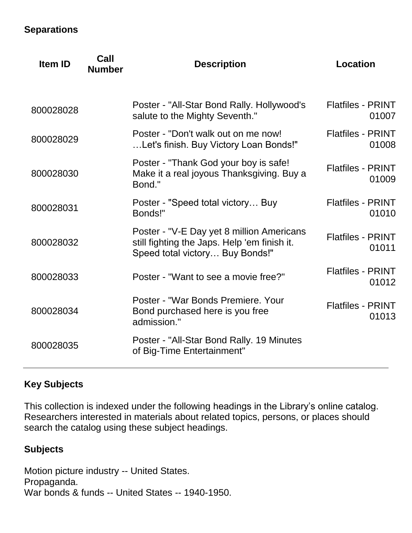#### **Separations**

| <b>Item ID</b> | Call<br><b>Number</b> | <b>Description</b>                                                                                                           | <b>Location</b>                   |
|----------------|-----------------------|------------------------------------------------------------------------------------------------------------------------------|-----------------------------------|
| 800028028      |                       | Poster - "All-Star Bond Rally. Hollywood's<br>salute to the Mighty Seventh."                                                 | <b>Flatfiles - PRINT</b><br>01007 |
| 800028029      |                       | Poster - "Don't walk out on me now!<br>Let's finish. Buy Victory Loan Bonds!"                                                | <b>Flatfiles - PRINT</b><br>01008 |
| 800028030      |                       | Poster - "Thank God your boy is safe!<br>Make it a real joyous Thanksgiving. Buy a<br>Bond."                                 | <b>Flatfiles - PRINT</b><br>01009 |
| 800028031      |                       | Poster - "Speed total victory Buy<br>Bonds!"                                                                                 | <b>Flatfiles - PRINT</b><br>01010 |
| 800028032      |                       | Poster - "V-E Day yet 8 million Americans<br>still fighting the Japs. Help 'em finish it.<br>Speed total victory Buy Bonds!" | <b>Flatfiles - PRINT</b><br>01011 |
| 800028033      |                       | Poster - "Want to see a movie free?"                                                                                         | <b>Flatfiles - PRINT</b><br>01012 |
| 800028034      |                       | Poster - "War Bonds Premiere, Your<br>Bond purchased here is you free<br>admission."                                         | <b>Flatfiles - PRINT</b><br>01013 |
| 800028035      |                       | Poster - "All-Star Bond Rally. 19 Minutes<br>of Big-Time Entertainment"                                                      |                                   |

### **Key Subjects**

This collection is indexed under the following headings in the Library's online catalog. Researchers interested in materials about related topics, persons, or places should search the catalog using these subject headings.

#### **Subjects**

Motion picture industry -- United States. Propaganda. War bonds & funds -- United States -- 1940-1950.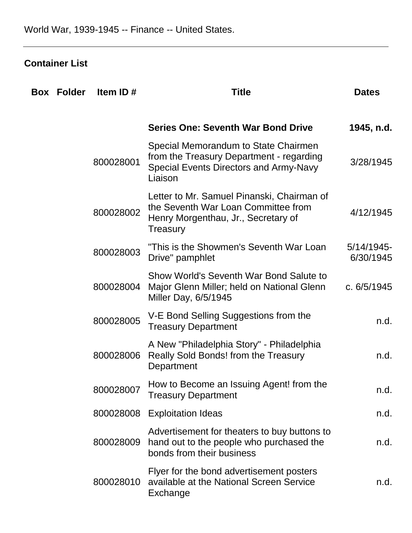## **Container List**

| <b>Box Folder</b> | Item ID#  | <b>Title</b>                                                                                                                          | <b>Dates</b>               |
|-------------------|-----------|---------------------------------------------------------------------------------------------------------------------------------------|----------------------------|
|                   |           | <b>Series One: Seventh War Bond Drive</b>                                                                                             | 1945, n.d.                 |
|                   | 800028001 | Special Memorandum to State Chairmen<br>from the Treasury Department - regarding<br>Special Events Directors and Army-Navy<br>Liaison | 3/28/1945                  |
|                   | 800028002 | Letter to Mr. Samuel Pinanski, Chairman of<br>the Seventh War Loan Committee from<br>Henry Morgenthau, Jr., Secretary of<br>Treasury  | 4/12/1945                  |
|                   | 800028003 | "This is the Showmen's Seventh War Loan<br>Drive" pamphlet                                                                            | $5/14/1945$ -<br>6/30/1945 |
|                   | 800028004 | Show World's Seventh War Bond Salute to<br>Major Glenn Miller; held on National Glenn<br>Miller Day, 6/5/1945                         | c. 6/5/1945                |
|                   | 800028005 | V-E Bond Selling Suggestions from the<br><b>Treasury Department</b>                                                                   | n.d.                       |
|                   | 800028006 | A New "Philadelphia Story" - Philadelphia<br>Really Sold Bonds! from the Treasury<br>Department                                       | n.d.                       |
|                   | 800028007 | How to Become an Issuing Agent! from the<br><b>Treasury Department</b>                                                                | n.d.                       |
|                   | 800028008 | <b>Exploitation Ideas</b>                                                                                                             | n.d.                       |
|                   | 800028009 | Advertisement for theaters to buy buttons to<br>hand out to the people who purchased the<br>bonds from their business                 | n.d.                       |
|                   | 800028010 | Flyer for the bond advertisement posters<br>available at the National Screen Service<br>Exchange                                      | n.d.                       |
|                   |           |                                                                                                                                       |                            |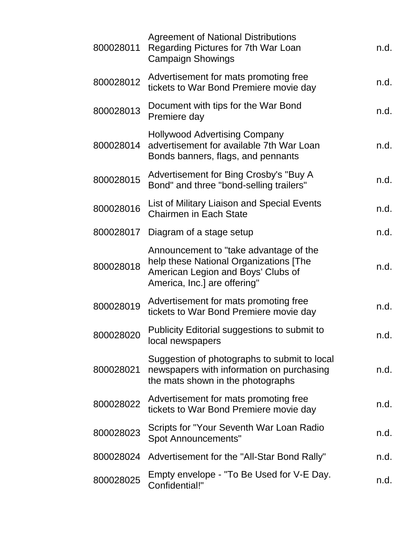| 800028011 | <b>Agreement of National Distributions</b><br>Regarding Pictures for 7th War Loan<br><b>Campaign Showings</b>                                          | n.d. |
|-----------|--------------------------------------------------------------------------------------------------------------------------------------------------------|------|
| 800028012 | Advertisement for mats promoting free<br>tickets to War Bond Premiere movie day                                                                        | n.d. |
| 800028013 | Document with tips for the War Bond<br>Premiere day                                                                                                    | n.d. |
| 800028014 | <b>Hollywood Advertising Company</b><br>advertisement for available 7th War Loan<br>Bonds banners, flags, and pennants                                 | n.d. |
| 800028015 | Advertisement for Bing Crosby's "Buy A<br>Bond" and three "bond-selling trailers"                                                                      | n.d. |
| 800028016 | List of Military Liaison and Special Events<br><b>Chairmen in Each State</b>                                                                           | n.d. |
| 800028017 | Diagram of a stage setup                                                                                                                               | n.d. |
| 800028018 | Announcement to "take advantage of the<br>help these National Organizations [The<br>American Legion and Boys' Clubs of<br>America, Inc.] are offering" | n.d. |
| 800028019 | Advertisement for mats promoting free<br>tickets to War Bond Premiere movie day                                                                        | n.d. |
| 800028020 | Publicity Editorial suggestions to submit to<br>local newspapers                                                                                       | n.d. |
| 800028021 | Suggestion of photographs to submit to local<br>newspapers with information on purchasing<br>the mats shown in the photographs                         | n.d. |
| 800028022 | Advertisement for mats promoting free<br>tickets to War Bond Premiere movie day                                                                        | n.d. |
| 800028023 | Scripts for "Your Seventh War Loan Radio<br><b>Spot Announcements"</b>                                                                                 | n.d. |
| 800028024 | Advertisement for the "All-Star Bond Rally"                                                                                                            | n.d. |
| 800028025 | Empty envelope - "To Be Used for V-E Day.<br>Confidential!"                                                                                            | n.d. |